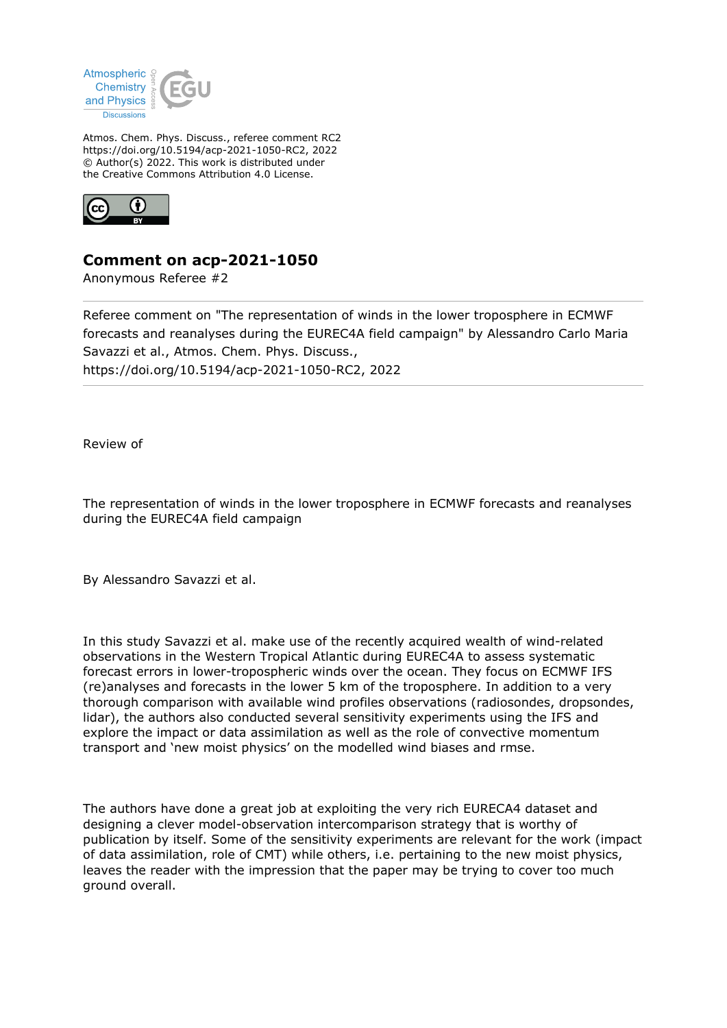

Atmos. Chem. Phys. Discuss., referee comment RC2 https://doi.org/10.5194/acp-2021-1050-RC2, 2022 © Author(s) 2022. This work is distributed under the Creative Commons Attribution 4.0 License.



## **Comment on acp-2021-1050**

Anonymous Referee #2

Referee comment on "The representation of winds in the lower troposphere in ECMWF forecasts and reanalyses during the EUREC4A field campaign" by Alessandro Carlo Maria Savazzi et al., Atmos. Chem. Phys. Discuss., https://doi.org/10.5194/acp-2021-1050-RC2, 2022

Review of

The representation of winds in the lower troposphere in ECMWF forecasts and reanalyses during the EUREC4A field campaign

By Alessandro Savazzi et al.

In this study Savazzi et al. make use of the recently acquired wealth of wind-related observations in the Western Tropical Atlantic during EUREC4A to assess systematic forecast errors in lower-tropospheric winds over the ocean. They focus on ECMWF IFS (re)analyses and forecasts in the lower 5 km of the troposphere. In addition to a very thorough comparison with available wind profiles observations (radiosondes, dropsondes, lidar), the authors also conducted several sensitivity experiments using the IFS and explore the impact or data assimilation as well as the role of convective momentum transport and 'new moist physics' on the modelled wind biases and rmse.

The authors have done a great job at exploiting the very rich EURECA4 dataset and designing a clever model-observation intercomparison strategy that is worthy of publication by itself. Some of the sensitivity experiments are relevant for the work (impact of data assimilation, role of CMT) while others, i.e. pertaining to the new moist physics, leaves the reader with the impression that the paper may be trying to cover too much ground overall.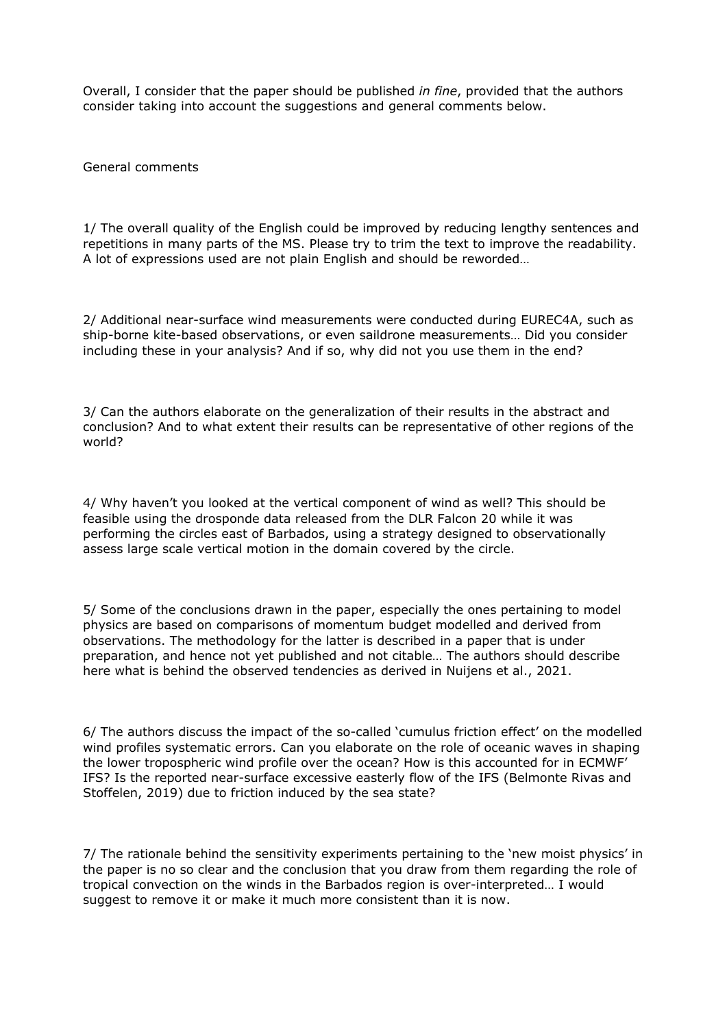Overall, I consider that the paper should be published *in fine*, provided that the authors consider taking into account the suggestions and general comments below.

General comments

1/ The overall quality of the English could be improved by reducing lengthy sentences and repetitions in many parts of the MS. Please try to trim the text to improve the readability. A lot of expressions used are not plain English and should be reworded…

2/ Additional near-surface wind measurements were conducted during EUREC4A, such as ship-borne kite-based observations, or even saildrone measurements… Did you consider including these in your analysis? And if so, why did not you use them in the end?

3/ Can the authors elaborate on the generalization of their results in the abstract and conclusion? And to what extent their results can be representative of other regions of the world?

4/ Why haven't you looked at the vertical component of wind as well? This should be feasible using the drosponde data released from the DLR Falcon 20 while it was performing the circles east of Barbados, using a strategy designed to observationally assess large scale vertical motion in the domain covered by the circle.

5/ Some of the conclusions drawn in the paper, especially the ones pertaining to model physics are based on comparisons of momentum budget modelled and derived from observations. The methodology for the latter is described in a paper that is under preparation, and hence not yet published and not citable… The authors should describe here what is behind the observed tendencies as derived in Nuijens et al., 2021.

6/ The authors discuss the impact of the so-called 'cumulus friction effect' on the modelled wind profiles systematic errors. Can you elaborate on the role of oceanic waves in shaping the lower tropospheric wind profile over the ocean? How is this accounted for in ECMWF' IFS? Is the reported near-surface excessive easterly flow of the IFS (Belmonte Rivas and Stoffelen, 2019) due to friction induced by the sea state?

7/ The rationale behind the sensitivity experiments pertaining to the 'new moist physics' in the paper is no so clear and the conclusion that you draw from them regarding the role of tropical convection on the winds in the Barbados region is over-interpreted… I would suggest to remove it or make it much more consistent than it is now.